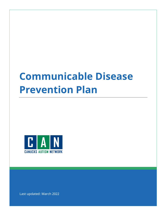# **Communicable Disease Prevention Plan**



Last updated: March 2022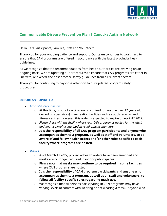

# **Communicable Disease Prevention Plan | Canucks Autism Network**

Hello CAN Participants, Families, Staff and Volunteers,

Thank you for your ongoing patience and support. Our team continues to work hard to ensure that CAN programs are offered in accordance with the latest provincial health guidelines.

As we recognize that the recommendations from health authorities are evolving on an ongoing basis; we are updating our procedures to ensure that CAN programs are either in line with, or exceed, the best practice safety guidelines from all relevant sectors.

Thank you for continuing to pay close attention to our updated program safety procedures.

#### **IMPORTANT UPDATES:**

- **Proof Of Vaccination:**
	- $\circ$  At this time, proof of vaccination is required for anyone over 12 years old (including spectators) in recreation facilities such as pools, arenas and fitness centres; however, this order is expected to expire on April  $8<sup>th</sup>$  2022.
	- o *Please check with the facility where your CAN program is hosted for the latest updates, as proof of vaccination requirements may vary.*
	- o **It is the responsibility of all CAN program participants and anyone who accompanies them to a program, as well as staff and volunteers, to be aware of and follow health orders and/or other rules specific to each facility where programs are hosted.**
- **Masks**
	- $\circ$  As of March 11 2022, provincial health orders have been amended and masks are no longer required in indoor public spaces.
	- o Please note that **masks may continue to be required in some facilities** where CAN programs are hosted.
	- $\circ$  It is the responsibility of CAN program participants and anyone who **accompanies them to a program, as well as all staff and volunteers, to follow all facility-specific rules regarding mask use.**
	- o We recognize that all persons participating in CAN programs may have varying levels of comfort with wearing or not wearing a mask. Anyone who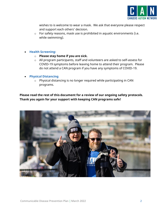

wishes to is welcome to wear a mask. We ask that everyone please respect and support each others' decision.

- $\circ$  For safety reasons, mask use is prohibited in aquatic environments (i.e. while swimming).
- **Health Screening:**
	- o **Please stay home if you are sick.**
	- o All program participants, staff and volunteers are asked to self-assess for COVID-19 symptoms before leaving home to attend their program. Please do not attend a CAN program if you have any symptoms of COVID-19.
- **Physical Distancing**
	- o Physical distancing is no longer required while participating in CAN programs.

**Please read the rest of this document for a review of our ongoing safety protocols. Thank you again for your support with keeping CAN programs safe!**

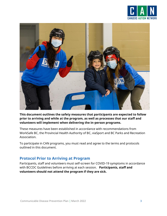



**This document outlines the safety measures that participants are expected to follow prior to arriving and while at the program, as well as processes that our staff and volunteers will implement when delivering the in-person programs.** 

These measures have been established in accordance with recommendations from WorkSafe BC, the Provincial Health Authority of BC, viaSport and BC Parks and Recreation Association.

To participate in CAN programs, you must read and agree to the terms and protocols outlined in this document.

## **Protocol Prior to Arriving at Program**

Participants, staff and volunteers must self-screen for COVID-19 symptoms in accordance with BCCDC Guidelines before arriving at each session. **Participants, staff and volunteers should not attend the program if they are sick.**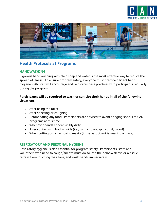



## **Health Protocols at Programs**

#### **HANDWASHING**

Rigorous hand washing with plain soap and water is the most effective way to reduce the spread of illness. To ensure program safety, everyone must practice diligent hand hygiene. CAN staff will encourage and reinforce these practices with participants regularly during the program.

#### **Participants will be required to wash or sanitize their hands in all of the following situations:**

- After using the toilet
- After sneezing or coughing
- Before eating any food. Participants are advised to avoid bringing snacks to CAN programs at this time.
- Whenever hands appear visibly dirty
- After contact with bodily fluids (i.e., runny noses, spit, vomit, blood)
- When putting on or removing masks (if the participant is wearing a mask)

#### **RESPIRATORY AND PERSONAL HYGIENE**

Respiratory hygiene is also essential for program safety. Participants, staff, and volunteers who need to cough/sneeze must do so into their elbow sleeve or a tissue, refrain from touching their face, and wash hands immediately.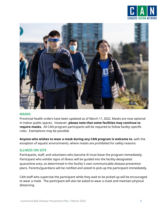



#### **MASKS**

Provincial health orders have been updated as of March 11, 2022. Masks are now optional in indoor public spaces. However, **please note that some facilities may continue to require masks.** All CAN program participants will be required to follow facility-specific rules. Exemptions may be possible.

**Anyone who wishes to wear a mask during any CAN program is welcome to**, with the exception of aquatic environments, where masks are prohibited for safety reasons.

#### **ILLNESS ON SITE**

Participants, staff, and volunteers who become ill must leave the program immediately. Participant who exhibit signs of illness will be guided into the facility-designated quarantine area, as determined in the facility's own communicable disease prevention plans. Parents/guardians will be notified and asked to pick-up the participant immediately.

CAN staff who supervise the participant while they wait to be picked up will be encouraged to wear a mask. The participant will also be asked to wear a mask and maintain physical distancing.